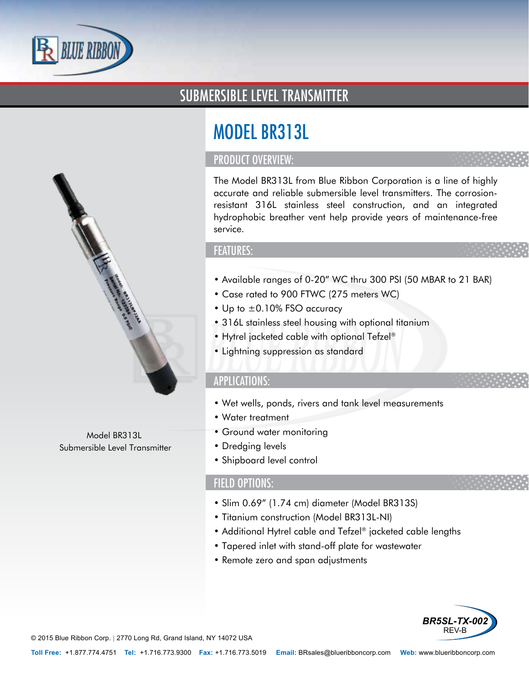

## SUBMERSIBLE LEVEL TRANSMITTER



### PRODUCT OVERVIEW:

The Model BR313L from Blue Ribbon Corporation is a line of highly accurate and reliable submersible level transmitters. The corrosionresistant 316L stainless steel construction, and an integrated hydrophobic breather vent help provide years of maintenance-free service.

#### FEATURES:

- Available ranges of 0-20" WC thru 300 PSI (50 MBAR to 21 BAR)
- Case rated to 900 FTWC (275 meters WC)
- Up to  $\pm 0.10\%$  FSO accuracy
- 316L stainless steel housing with optional titanium
- Hytrel jacketed cable with optional Tefzel®
- Lightning suppression as standard

#### APPLICATIONS:

- Wet wells, ponds, rivers and tank level measurements
- Water treatment
- Ground water monitoring
- Dredging levels
- Shipboard level control

#### FIELD OPTIONS:

- Slim 0.69" (1.74 cm) diameter (Model BR313S)
- Titanium construction (Model BR313L-NI)
- Additional Hytrel cable and Tefzel® jacketed cable lengths
- Tapered inlet with stand-off plate for wastewater
- Remote zero and span adjustments



© 2015 Blue Ribbon Corp. *<sup>|</sup>* 2770 Long Rd, Grand Island, NY 14072 USA

Model BR313L Submersible Level Transmitter